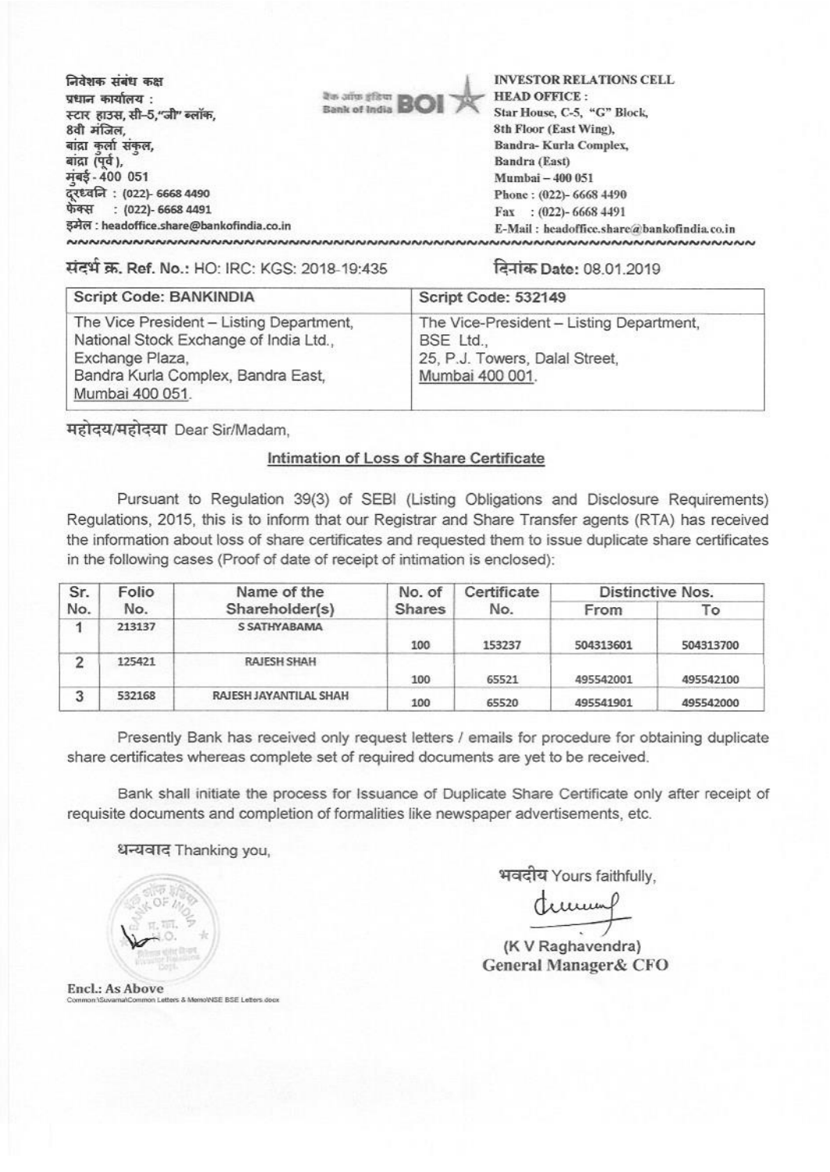| निवेशक संबंध कक्ष                                         |                             | <b>INVESTOR RELATIONS CELL</b>             |
|-----------------------------------------------------------|-----------------------------|--------------------------------------------|
| प्रधान कार्यालय :                                         | देंक आफ़ इंडिया <b>इन्द</b> | <b>HEAD OFFICE:</b>                        |
| स्टार हाउस, सी-5,"जी" ब्लॉक,                              | <b>Bank of India BOI</b>    | Star House, C-5, "G" Block,                |
| 8वी मंजिल,                                                |                             | 8th Floor (East Wing),                     |
| बाद्रा कलो संकल,                                          |                             | Bandra-Kurla Complex,                      |
| बांद्रा (पूर्व),                                          |                             | Bandra (East)                              |
| मुंबई - 400 051                                           |                             | Mumbai - 400 051                           |
| दूरध्वनि : (022)- 6668 4490<br>फेक्स   : (022)- 6668 4491 |                             | Phone: (022)-6668 4490                     |
|                                                           |                             | Fax: $(022)$ -6668 4491                    |
| इमेल : headoffice.share@bankofindia.co.in                 |                             | E-Mail: headoffice.share@bankofindia.co.in |
| ៷៷៷៷៷៷៷៷៷៷៷៷៷៷៷៷៷៷៷៷៷៷៷៷៷៷៷៷៷                             |                             | ៴ <b>៷៷៷៷៷៷៷៷៷៷៷៷៷៷៷៷៷៷៷៷៷៷៷៷៷៷៷</b> ៷៷    |

संदर्भ क्र. Ref. No.: HO: IRC: KGS: 2018-19:435 14-41 किर्नांक Date: 08.01.2019

| <b>Script Code: BANKINDIA</b>                                                                                                                                  | Script Code: 532149                                                                                        |
|----------------------------------------------------------------------------------------------------------------------------------------------------------------|------------------------------------------------------------------------------------------------------------|
| The Vice President - Listing Department,<br>National Stock Exchange of India Ltd.,<br>Exchange Plaza,<br>Bandra Kurla Complex, Bandra East,<br>Mumbai 400 051. | The Vice-President - Listing Department,<br>BSE Ltd.,<br>25, P.J. Towers, Dalal Street,<br>Mumbai 400 001. |

महोदय/महोदया Dear Sir/Madam,

## Intimation of Loss of Share Certificate

Pursuant to Regulation 39(3) of SEBI (Listing Obligations and Disclosure Requirements) Regulations, 2015, this is to inform that our Registrar and Share Transfer agents (RTA) has received the information about loss of share certificates and requested them to issue duplicate share certificates in the following cases (Proof of date of receipt of intimation is enclosed):

| Sr. | Folio  | Name of the            | No. of        | Certificate | Distinctive Nos. |           |
|-----|--------|------------------------|---------------|-------------|------------------|-----------|
| No. | No.    | Shareholder(s)         | <b>Shares</b> | No.         | From             | То        |
|     | 213137 | S SATHY ABAMA          | 100           | 153237      | 504313601        | 504313700 |
| ົ   | 125421 | <b>RAJESH SHAH</b>     | 100           | 65521       | 495542001        | 495542100 |
| 3   | 532168 | RAJESH JAYANTILAL SHAH | 100           | 65520       | 495541901        | 495542000 |

Presently Bank has received only request letters / emails for procedure for obtaining duplicate share certificates whereas complete set of required documents are yet to be received.

Bank shall initiate the process for Issuance of Duplicate Share Certificate only after receipt of requisite documents and completion of formalities like newspaper advertisements, etc.

धन्यवाद Thanking you,

भवदीय Yours faithfully,

dunung

(K **V Raghavendra) General Manager& CFO** 

Encl.: As Above Eers & Memo'NSE BSE Leters door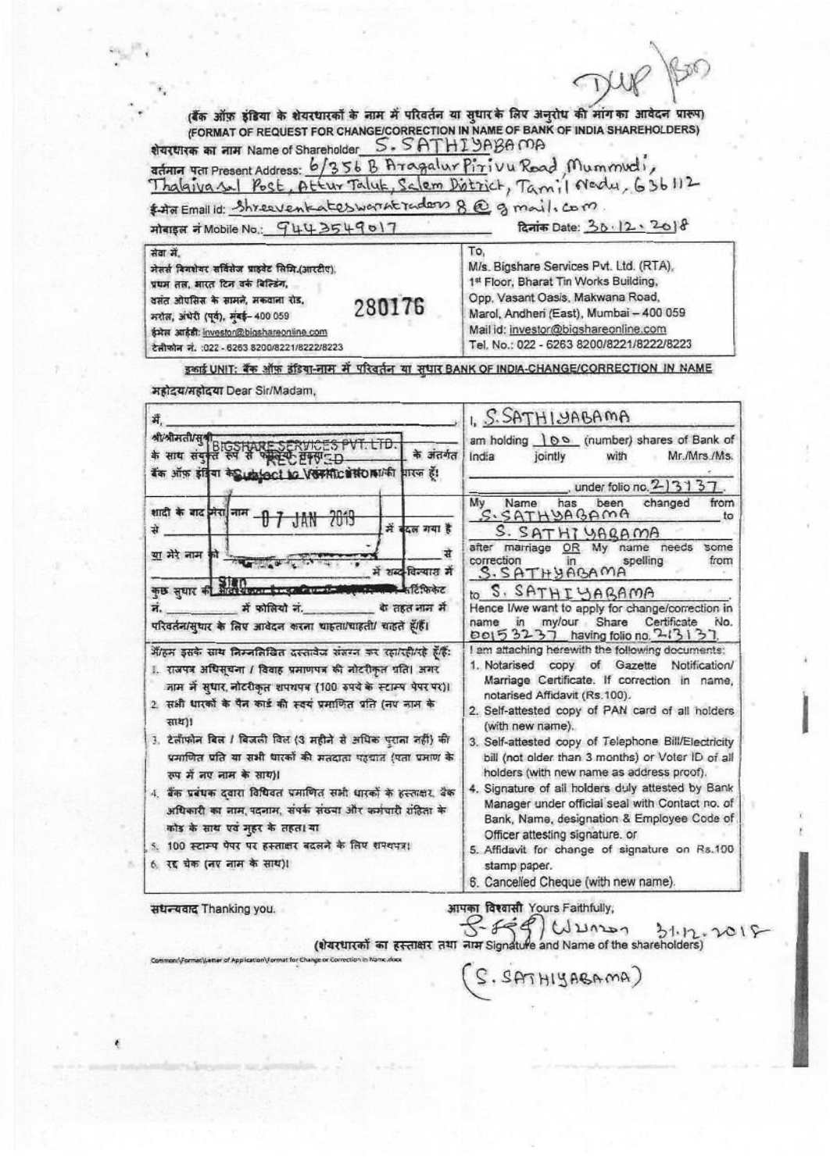(बैंक ऑफ़ इंडिया के शेयरधारकों के नाम में परिवर्तन या सुधार के लिए अनुरोध की मांग का आवेदन प्रारूप) (FORMAT OF REQUEST FOR CHANGE/CORRECTION IN NAME OF BANK OF INDIA SHAREHOLDERS) शेयरधारक का नाम Name of Shareholder S. SATHI YABA MA aturn 47 Present Address: 6/356 B Aragalur Pirivu Road Mummudi, Thalaiva sal Post, Attur Taluk, Salem District, Tamil Nedu, 636112

\$ that Email id: Shreeventates warnt radors 8 @ g mail. com.

मोबाइल नं Mobile No.: 9443549017

दिनांक Date: 30.12.2018

सेवा में. To. M/s. Bigshare Services Pvt. Ltd. (RTA), मेसर्स विनशेयर सर्विसेज प्राइवेट सिमि.(आरटीए). 1st Floor, Bharat Tin Works Building, प्रथम तल, आरत दिन वर्क बिल्डिंग, Opp. Vasant Oasis, Makwana Road, वसंत ओपसिस के सामने, मकवाना रोड, 280176 Marol, Andheri (East), Mumbai - 400 059 मरोल, अंधेरी (पूर्व), मंबई- 400 059 Mail id: investor@bigshareonline.com ईमेल आईडी: investor@bigshareonline.com Tel. No.: 022 - 6263 8200/8221/8222/8223 टेलीफोन नं. :022 - 6263 8200/8221/8222/8223

इकाई UNIT: बैंक ऑफ़ इंडिया-नाम में परिवर्तन या सुधार BANK OF INDIA-CHANGE/CORRECTION IN NAME

| रुप में नए नाम के साथ)।<br>4. बैंक प्रबंधक दवारा विधिवत प्रमाणित सभी धारकों के हस्ताक्षर, बैंक<br>अधिकारी का नाम, पदनाम, संपर्क संख्या और कर्मचारी राहिता के<br>कोड के साथ एवं मुहर के तहता या<br>5. 100 स्टाम्प पेपर पर हस्ताक्षर बदलने के लिए शपथपत्र।<br>6. रद्द चेक (नए नाम के साथ)।                                                                                                                  | holders (with new name as address proof).<br>4. Signature of all holders duly attested by Bank<br>Manager under official seal with Contact no. of<br>Bank, Name, designation & Employee Code of<br>Officer attesting signature. or<br>5. Affidavit for change of signature on Rs.100<br>stamp paper.<br>6. Cancelled Cheque (with new name).<br>$P_{\text{min}} = P_{\text{min}}$ , $P_{\text{min}} = P_{\text{min}}$ , $P_{\text{min}} = P_{\text{min}}$ |  |  |  |
|-----------------------------------------------------------------------------------------------------------------------------------------------------------------------------------------------------------------------------------------------------------------------------------------------------------------------------------------------------------------------------------------------------------|-----------------------------------------------------------------------------------------------------------------------------------------------------------------------------------------------------------------------------------------------------------------------------------------------------------------------------------------------------------------------------------------------------------------------------------------------------------|--|--|--|
| में/हम इसके साथ निम्नलिखित दस्तावेज संसम्न कर रहा/रही/रहे हूँ/हैं:<br>1. राजपत्र अधिसूचना / विवाह प्रमाणपत्र की नोटरीकृत गति। अगर<br>नाम में सुधार नोटरीकृत शपथपत्र (100 रुपये के स्टाम्प पेपर पर)।<br>2. सभी धारकों के पैन कार्ड की स्वयं प्रमाणित प्रति (नए नाम के<br>साथ)।<br>3. टेलीफोन बिल / बिजली विस (3 महीने से अधिक पुराना नहीं) की<br>प्रमाणित पति या सभी धारकों की मतदाता पहचात (पता प्रमाण के | I am attaching herewith the following documents:<br>1. Notarised copy of Gazette Notification/<br>Marriage Certificate. If correction in name,<br>notarised Affidavit (Rs.100).<br>2. Self-attested copy of PAN card of all holders<br>(with new name).<br>3. Self-attested copy of Telephone Bill/Electricity<br>bill (not older than 3 months) or Voter ID of all                                                                                       |  |  |  |
| के अंतर्गत<br>बैंक ऑफ़ इंडिया के unioci lo Verification and pres हैं!<br>शादी के बाद मेरा नाम - 0 7 JAN 2019<br>में बदल गया है<br>से -<br>या मेरे नाम की के बाद कर दे लेकिन<br>- स<br>में शब्द विल्यास में<br>कुछ सुधार की मानवी किया है। इसके बाद में अध्यापन करने हैं कि केट<br>ने कोलियो ने. के तहत नान में<br>परिवर्तन/सुधार के लिए आवेदन करना चाहता/चाहती/ चाहते हैं/हैं।                            | Mr./Mrs./Ms.<br>India<br>jointly<br>with<br>under folio no. 2-13137<br>Mv<br>Name<br>has<br>been<br>changed<br>from<br>S. SATHDAGAMA<br>to<br>S. SATHIYAGAMA<br>after marriage OR My name needs<br>some<br>correction<br>spelling<br>$\mathsf{in}$<br>from<br>S. SATHYAGAMA<br>to S. SATHIYABAMA<br>Hence I/we want to apply for change/correction in<br>my/our Share<br>Certificate<br>No.<br>name in<br>00153237 having folio no. 213137.               |  |  |  |
| में,                                                                                                                                                                                                                                                                                                                                                                                                      | I. S. SATHIYABAMA<br>am holding 100 (number) shares of Bank of                                                                                                                                                                                                                                                                                                                                                                                            |  |  |  |

महोदय/महोदया Dear Sir/Madam.

संघन्यवाद Thanking you.

 $-499$ ا 10.1-1-1-20 أو 1-1-1-20 (1) (1) 1-1-20 أو 1479 (1) 1-1-20 (1) 1-1-20 (1) 1-1-20 (1) 1-1-20 (1) 1-1-20 (1) 1- $|U$ *unon* 

SATHIYABAMA)